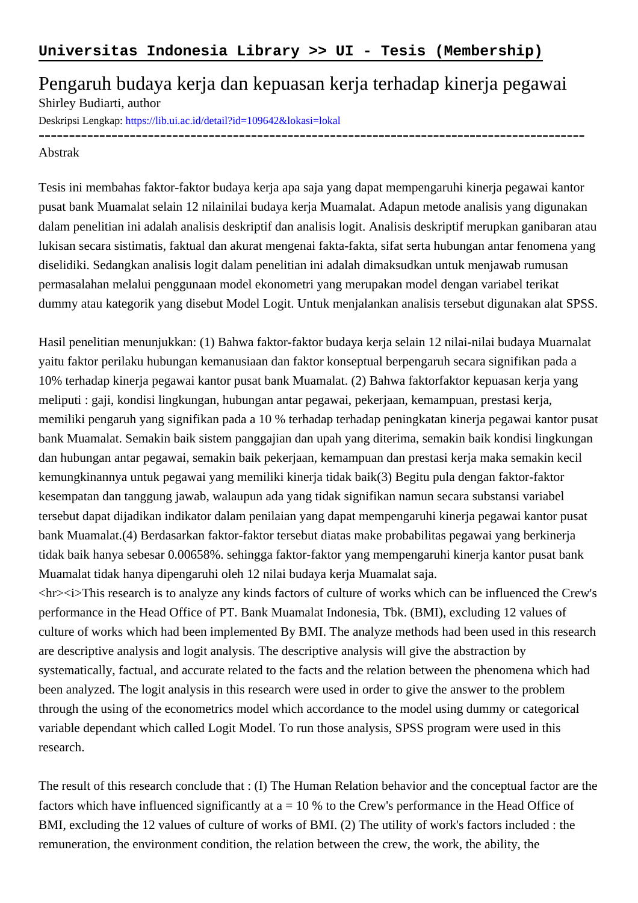## Pengaruh budaya kerja dan kepuasan kerja terhadap kinerja pegawai Shirley Budiarti, author

------------------------------------------------------------------------------------------

Deskripsi Lengkap:<https://lib.ui.ac.id/detail?id=109642&lokasi=lokal>

## Abstrak

Tesis ini membahas faktor-faktor budaya kerja apa saja yang dapat mempengaruhi kinerja pegawai kantor pusat bank Muamalat selain 12 nilainilai budaya kerja Muamalat. Adapun metode analisis yang digunakan dalam penelitian ini adalah analisis deskriptif dan analisis logit. Analisis deskriptif merupkan ganibaran atau lukisan secara sistimatis, faktual dan akurat mengenai fakta-fakta, sifat serta hubungan antar fenomena yang diselidiki. Sedangkan analisis logit dalam penelitian ini adalah dimaksudkan untuk menjawab rumusan permasalahan melalui penggunaan model ekonometri yang merupakan model dengan variabel terikat dummy atau kategorik yang disebut Model Logit. Untuk menjalankan analisis tersebut digunakan alat SPSS.

Hasil penelitian menunjukkan: (1) Bahwa faktor-faktor budaya kerja selain 12 nilai-nilai budaya Muarnalat yaitu faktor perilaku hubungan kemanusiaan dan faktor konseptual berpengaruh secara signifikan pada a 10% terhadap kinerja pegawai kantor pusat bank Muamalat. (2) Bahwa faktorfaktor kepuasan kerja yang meliputi : gaji, kondisi lingkungan, hubungan antar pegawai, pekerjaan, kemampuan, prestasi kerja, memiliki pengaruh yang signifikan pada a 10 % terhadap terhadap peningkatan kinerja pegawai kantor pusat bank Muamalat. Semakin baik sistem panggajian dan upah yang diterima, semakin baik kondisi lingkungan dan hubungan antar pegawai, semakin baik pekerjaan, kemampuan dan prestasi kerja maka semakin kecil kemungkinannya untuk pegawai yang memiliki kinerja tidak baik(3) Begitu pula dengan faktor-faktor kesempatan dan tanggung jawab, walaupun ada yang tidak signifikan namun secara substansi variabel tersebut dapat dijadikan indikator dalam penilaian yang dapat mempengaruhi kinerja pegawai kantor pusat bank Muamalat.(4) Berdasarkan faktor-faktor tersebut diatas make probabilitas pegawai yang berkinerja tidak baik hanya sebesar 0.00658%. sehingga faktor-faktor yang mempengaruhi kinerja kantor pusat bank Muamalat tidak hanya dipengaruhi oleh 12 nilai budaya kerja Muamalat saja.

<hr><i>This research is to analyze any kinds factors of culture of works which can be influenced the Crew's performance in the Head Office of PT. Bank Muamalat Indonesia, Tbk. (BMI), excluding 12 values of culture of works which had been implemented By BMI. The analyze methods had been used in this research are descriptive analysis and logit analysis. The descriptive analysis will give the abstraction by systematically, factual, and accurate related to the facts and the relation between the phenomena which had been analyzed. The logit analysis in this research were used in order to give the answer to the problem through the using of the econometrics model which accordance to the model using dummy or categorical variable dependant which called Logit Model. To run those analysis, SPSS program were used in this research.

The result of this research conclude that : (I) The Human Relation behavior and the conceptual factor are the factors which have influenced significantly at  $a = 10$  % to the Crew's performance in the Head Office of BMI, excluding the 12 values of culture of works of BMI. (2) The utility of work's factors included : the remuneration, the environment condition, the relation between the crew, the work, the ability, the